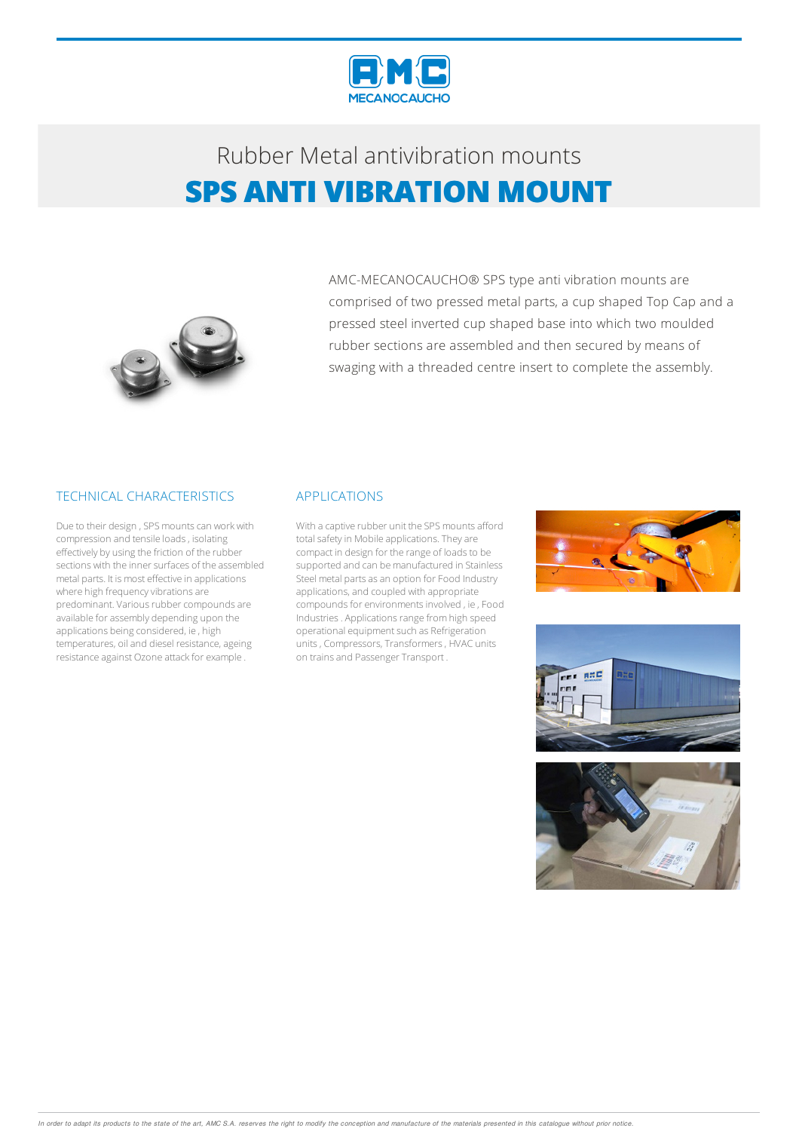

# Rubber Metalantivibration mounts **SPS ANTI VIBRATION MOUNT**



AMC-MECANOCAUCHO® SPS type anti vibration mounts are comprised of two pressed metal parts, a cup shaped Top Cap and a pressed steel inverted cup shaped base into which two moulded rubber sections are assembled and then secured by means of swaging with a threaded centre insert to complete the assembly.

### TECHNICAL CHARACTERISTICS

Due to their design, SPS mounts can work with compression and tensile loads, isolating effectively by using the friction of the rubber sections with the inner surfaces of the assembled metal parts. It is most effective in applications where high frequency vibrations are predominant. Various rubber compounds are available for assembly depending upon the applications being considered, ie, high temperatures, oil and diesel resistance, ageing resistance against Ozone attack for example .

#### APPLICATIONS

With a captive rubber unit the SPS mounts afford total safety in Mobile applications. They are compact in design for the range of loads to be supported and can be manufactured in Stainless Steel metal parts as an option for Food Industry applications, and coupled with appropriate compounds for environments involved, ie, Food Industries. Applications range from high speed operational equipment such as Refrigeration units, Compressors, Transformers, HVAC units on trains and Passenger Transport .





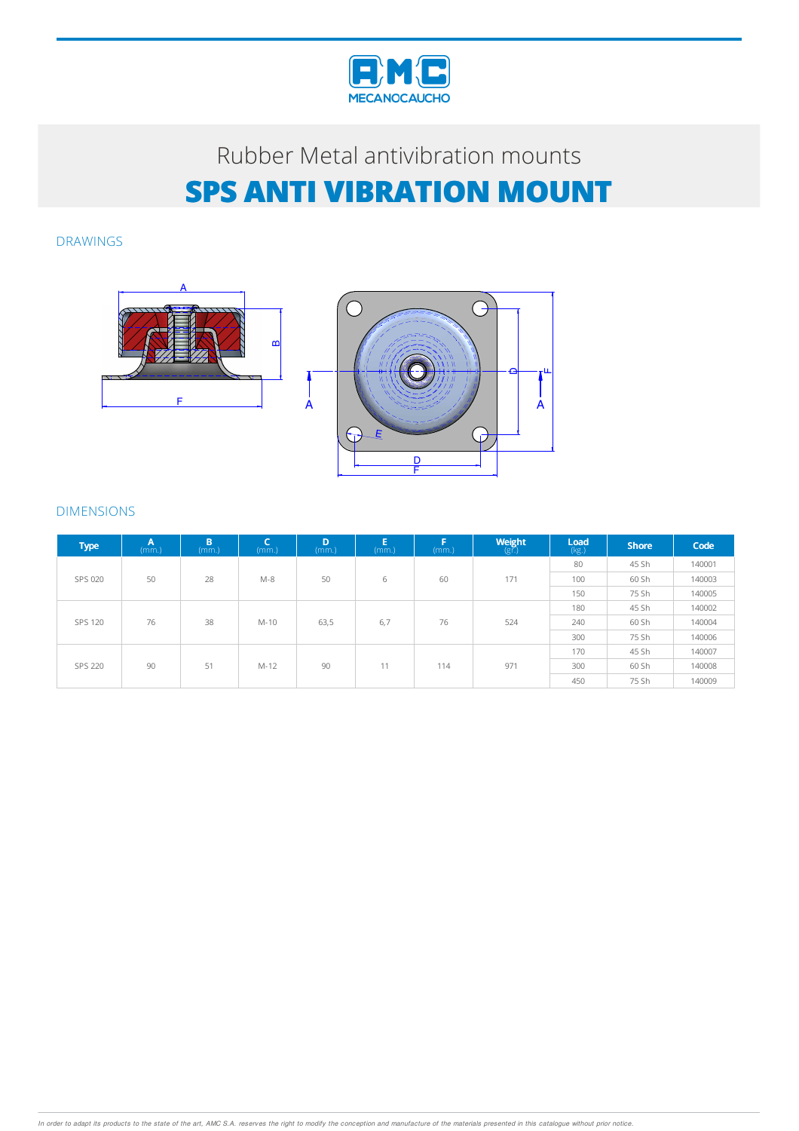

# Rubber Metal antivibration mounts **SPS ANTI VIBRATION MOUNT**

DRAWINGS



### DIMENSIONS

| <b>Type</b> | $A$ <sub>(mm.)</sub> | B<br>(mm.) | c<br>(mm.) | D<br>(mm) | E<br>(mm.) | F<br>(mm.) | $\underset{\left(\mathbb{S}^r\right)}{\text{Weight}}$ | $\mathsf{Load}$<br>$(kg.)$ | <b>Shore</b> | Code   |
|-------------|----------------------|------------|------------|-----------|------------|------------|-------------------------------------------------------|----------------------------|--------------|--------|
| SPS 020     | 50                   | 28         | $M-8$      | 50        | 6          | 60         | 171                                                   | 80                         | 45 Sh        | 140001 |
|             |                      |            |            |           |            |            |                                                       | 100                        | 60 Sh        | 140003 |
|             |                      |            |            |           |            |            |                                                       | 150                        | 75 Sh        | 140005 |
| SPS 120     | 76                   | 38         | M-10       | 63,5      | 6,7        | 76         | 524                                                   | 180                        | 45 Sh        | 140002 |
|             |                      |            |            |           |            |            |                                                       | 240                        | 60 Sh        | 140004 |
|             |                      |            |            |           |            |            |                                                       | 300                        | 75 Sh        | 140006 |
| SPS 220     | 90                   | 51         | $M-12$     | 90        | 11         | 114        | 971                                                   | 170                        | 45 Sh        | 140007 |
|             |                      |            |            |           |            |            |                                                       | 300                        | 60 Sh        | 140008 |
|             |                      |            |            |           |            |            |                                                       | 450                        | 75 Sh        | 140009 |